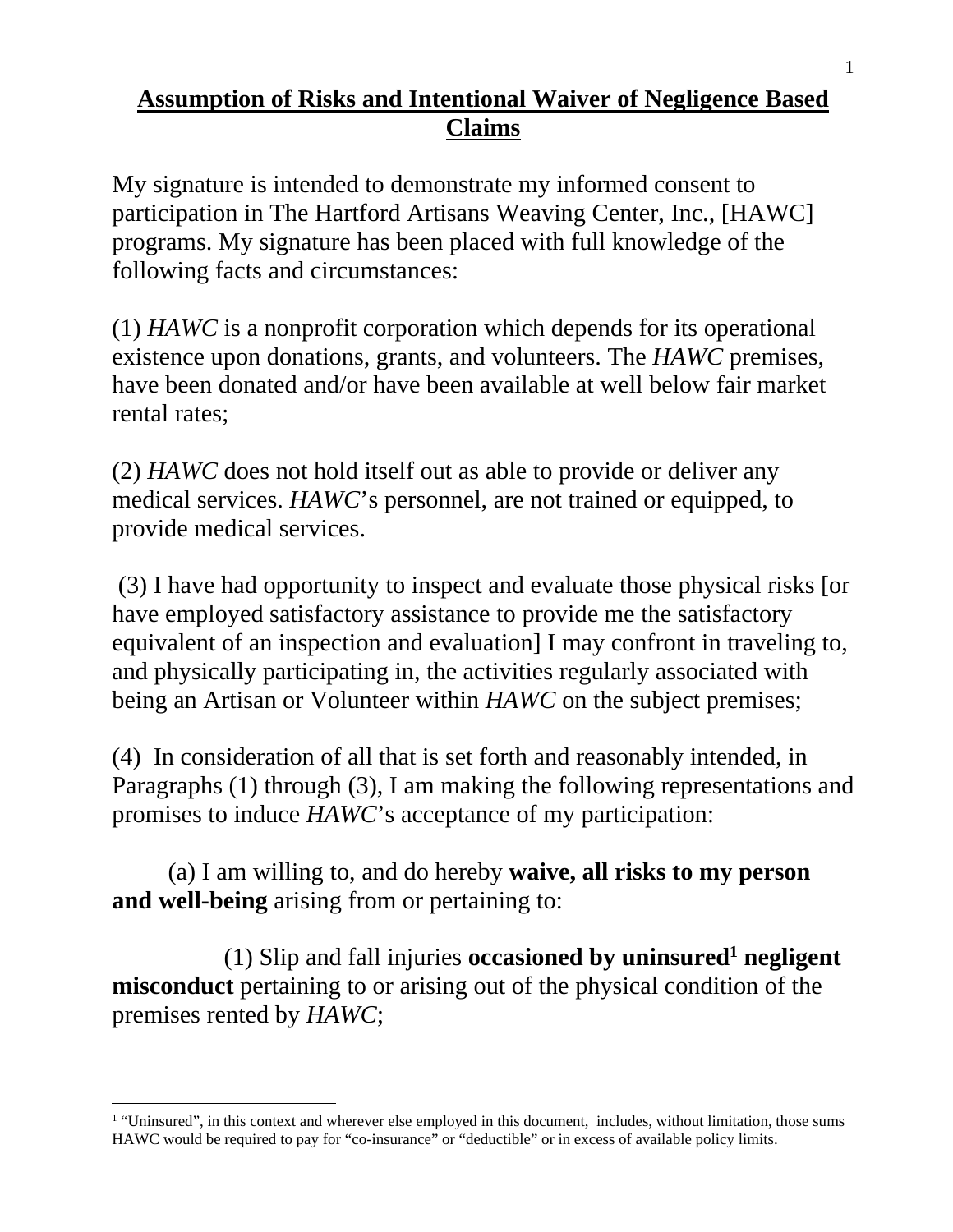## **Assumption of Risks and Intentional Waiver of Negligence Based Claims**

My signature is intended to demonstrate my informed consent to participation in The Hartford Artisans Weaving Center, Inc., [HAWC] programs. My signature has been placed with full knowledge of the following facts and circumstances:

(1) *HAWC* is a nonprofit corporation which depends for its operational existence upon donations, grants, and volunteers. The *HAWC* premises, have been donated and/or have been available at well below fair market rental rates;

(2) *HAWC* does not hold itself out as able to provide or deliver any medical services. *HAWC*'s personnel, are not trained or equipped, to provide medical services.

 (3) I have had opportunity to inspect and evaluate those physical risks [or have employed satisfactory assistance to provide me the satisfactory equivalent of an inspection and evaluation] I may confront in traveling to, and physically participating in, the activities regularly associated with being an Artisan or Volunteer within *HAWC* on the subject premises;

(4) In consideration of all that is set forth and reasonably intended, in Paragraphs (1) through (3), I am making the following representations and promises to induce *HAWC*'s acceptance of my participation:

 (a) I am willing to, and do hereby **waive, all risks to my person and well-being** arising from or pertaining to:

(1) Slip and fall injuries **occasioned by uninsured<sup>1</sup> negligent misconduct** pertaining to or arising out of the physical condition of the premises rented by *HAWC*;

 $\overline{a}$ 

<sup>&</sup>lt;sup>1</sup> "Uninsured", in this context and wherever else employed in this document, includes, without limitation, those sums HAWC would be required to pay for "co-insurance" or "deductible" or in excess of available policy limits.